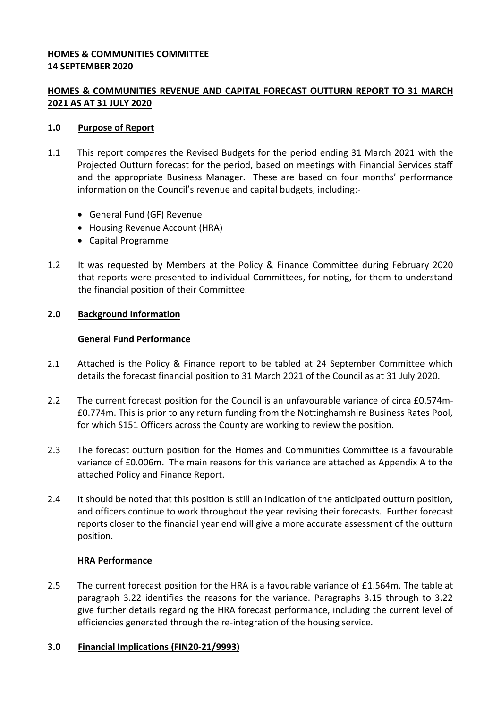## **HOMES & COMMUNITIES COMMITTEE 14 SEPTEMBER 2020**

# **HOMES & COMMUNITIES REVENUE AND CAPITAL FORECAST OUTTURN REPORT TO 31 MARCH 2021 AS AT 31 JULY 2020**

## **1.0 Purpose of Report**

- 1.1 This report compares the Revised Budgets for the period ending 31 March 2021 with the Projected Outturn forecast for the period, based on meetings with Financial Services staff and the appropriate Business Manager. These are based on four months' performance information on the Council's revenue and capital budgets, including:-
	- General Fund (GF) Revenue
	- Housing Revenue Account (HRA)
	- Capital Programme
- 1.2 It was requested by Members at the Policy & Finance Committee during February 2020 that reports were presented to individual Committees, for noting, for them to understand the financial position of their Committee.

## **2.0 Background Information**

## **General Fund Performance**

- 2.1 Attached is the Policy & Finance report to be tabled at 24 September Committee which details the forecast financial position to 31 March 2021 of the Council as at 31 July 2020.
- 2.2 The current forecast position for the Council is an unfavourable variance of circa £0.574m- £0.774m. This is prior to any return funding from the Nottinghamshire Business Rates Pool, for which S151 Officers across the County are working to review the position.
- 2.3 The forecast outturn position for the Homes and Communities Committee is a favourable variance of £0.006m. The main reasons for this variance are attached as Appendix A to the attached Policy and Finance Report.
- 2.4 It should be noted that this position is still an indication of the anticipated outturn position, and officers continue to work throughout the year revising their forecasts. Further forecast reports closer to the financial year end will give a more accurate assessment of the outturn position.

#### **HRA Performance**

2.5 The current forecast position for the HRA is a favourable variance of £1.564m. The table at paragraph 3.22 identifies the reasons for the variance. Paragraphs 3.15 through to 3.22 give further details regarding the HRA forecast performance, including the current level of efficiencies generated through the re-integration of the housing service.

#### **3.0 Financial Implications (FIN20-21/9993)**